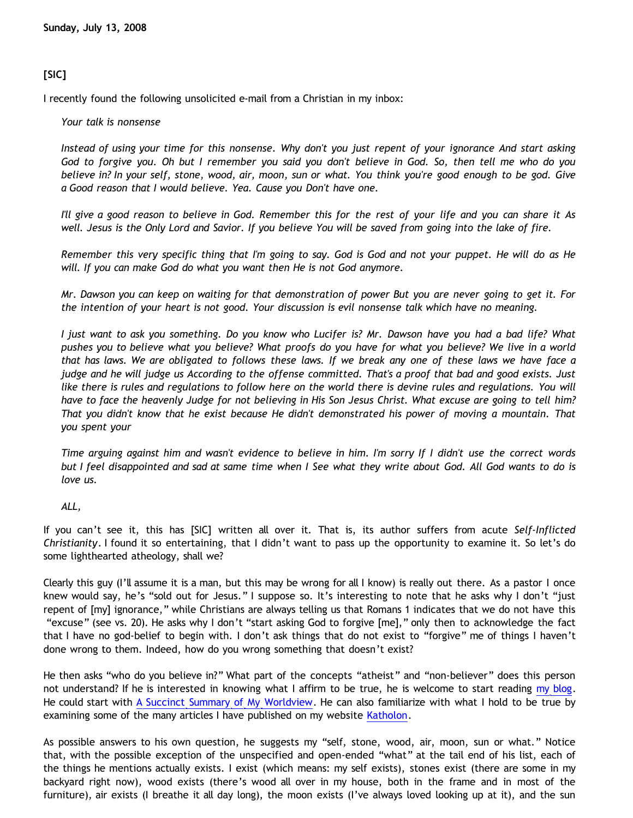# **[SIC]**

I recently found the following unsolicited e-mail from a Christian in my inbox:

*Your talk is nonsense*

*Instead of using your time for this nonsense. Why don't you just repent of your ignorance And start asking God to forgive you. Oh but I remember you said you don't believe in God. So, then tell me who do you believe in? In your self, stone, wood, air, moon, sun or what. You think you're good enough to be god. Give a Good reason that I would believe. Yea. Cause you Don't have one.*

*I'll give a good reason to believe in God. Remember this for the rest of your life and you can share it As well. Jesus is the Only Lord and Savior. If you believe You will be saved from going into the lake of fire.*

*Remember this very specific thing that I'm going to say. God is God and not your puppet. He will do as He will. If you can make God do what you want then He is not God anymore.*

*Mr. Dawson you can keep on waiting for that demonstration of power But you are never going to get it. For the intention of your heart is not good. Your discussion is evil nonsense talk which have no meaning.*

*I just want to ask you something. Do you know who Lucifer is? Mr. Dawson have you had a bad life? What pushes you to believe what you believe? What proofs do you have for what you believe? We live in a world that has laws. We are obligated to follows these laws. If we break any one of these laws we have face a judge and he will judge us According to the offense committed. That's a proof that bad and good exists. Just like there is rules and regulations to follow here on the world there is devine rules and regulations. You will have to face the heavenly Judge for not believing in His Son Jesus Christ. What excuse are going to tell him? That you didn't know that he exist because He didn't demonstrated his power of moving a mountain. That you spent your*

*Time arguing against him and wasn't evidence to believe in him. I'm sorry If I didn't use the correct words but I feel disappointed and sad at same time when I See what they write about God. All God wants to do is love us.*

*ALL,*

If you can't see it, this has [SIC] written all over it. That is, its author suffers from acute *Self-Inflicted Christianity*. I found it so entertaining, that I didn't want to pass up the opportunity to examine it. So let's do some lighthearted atheology, shall we?

Clearly this guy (I'll assume it is a man, but this may be wrong for all I know) is really out there. As a pastor I once knew would say, he's "sold out for Jesus." I suppose so. It's interesting to note that he asks why I don't "just repent of [my] ignorance," while Christians are always telling us that Romans 1 indicates that we do not have this "excuse" (see vs. 20). He asks why I don't "start asking God to forgive [me]," only then to acknowledge the fact that I have no god-belief to begin with. I don't ask things that do not exist to "forgive" me of things I haven't done wrong to them. Indeed, how do you wrong something that doesn't exist?

He then asks "who do you believe in?" What part of the concepts "atheist" and "non-believer" does this person not understand? If he is interested in knowing what I affirm to be true, he is welcome to start reading [my blog.](http://bahnsenburner.blogspot.com/) He could start with [A Succinct Summary of My Worldview.](http://bahnsenburner.blogspot.com/2007/05/succinct-summary-of-my-worldview.html) He can also familiarize with what I hold to be true by examining some of the many articles I have published on my website [Katholon.](http://www.geocities.com/katholon/)

As possible answers to his own question, he suggests my "self, stone, wood, air, moon, sun or what." Notice that, with the possible exception of the unspecified and open-ended "what" at the tail end of his list, each of the things he mentions actually exists. I exist (which means: my self exists), stones exist (there are some in my backyard right now), wood exists (there's wood all over in my house, both in the frame and in most of the furniture), air exists (I breathe it all day long), the moon exists (I've always loved looking up at it), and the sun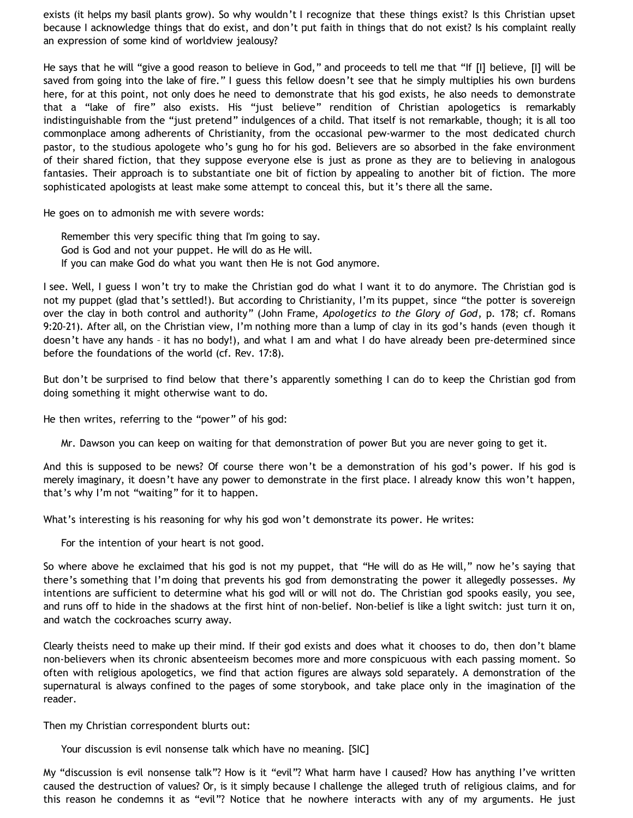exists (it helps my basil plants grow). So why wouldn't I recognize that these things exist? Is this Christian upset because I acknowledge things that do exist, and don't put faith in things that do not exist? Is his complaint really an expression of some kind of worldview jealousy?

He says that he will "give a good reason to believe in God," and proceeds to tell me that "If [I] believe, [I] will be saved from going into the lake of fire." I guess this fellow doesn't see that he simply multiplies his own burdens here, for at this point, not only does he need to demonstrate that his god exists, he also needs to demonstrate that a "lake of fire" also exists. His "just believe" rendition of Christian apologetics is remarkably indistinguishable from the "just pretend" indulgences of a child. That itself is not remarkable, though; it is all too commonplace among adherents of Christianity, from the occasional pew-warmer to the most dedicated church pastor, to the studious apologete who's gung ho for his god. Believers are so absorbed in the fake environment of their shared fiction, that they suppose everyone else is just as prone as they are to believing in analogous fantasies. Their approach is to substantiate one bit of fiction by appealing to another bit of fiction. The more sophisticated apologists at least make some attempt to conceal this, but it's there all the same.

He goes on to admonish me with severe words:

Remember this very specific thing that I'm going to say. God is God and not your puppet. He will do as He will. If you can make God do what you want then He is not God anymore.

I see. Well, I guess I won't try to make the Christian god do what I want it to do anymore. The Christian god is not my puppet (glad that's settled!). But according to Christianity, I'm its puppet, since "the potter is sovereign over the clay in both control and authority" (John Frame, *Apologetics to the Glory of God*, p. 178; cf. Romans 9:20-21). After all, on the Christian view, I'm nothing more than a lump of clay in its god's hands (even though it doesn't have any hands – it has no body!), and what I am and what I do have already been pre-determined since before the foundations of the world (cf. Rev. 17:8).

But don't be surprised to find below that there's apparently something I can do to keep the Christian god from doing something it might otherwise want to do.

He then writes, referring to the "power" of his god:

Mr. Dawson you can keep on waiting for that demonstration of power But you are never going to get it.

And this is supposed to be news? Of course there won't be a demonstration of his god's power. If his god is merely imaginary, it doesn't have any power to demonstrate in the first place. I already know this won't happen, that's why I'm not "waiting" for it to happen.

What's interesting is his reasoning for why his god won't demonstrate its power. He writes:

For the intention of your heart is not good.

So where above he exclaimed that his god is not my puppet, that "He will do as He will," now he's saying that there's something that I'm doing that prevents his god from demonstrating the power it allegedly possesses. My intentions are sufficient to determine what his god will or will not do. The Christian god spooks easily, you see, and runs off to hide in the shadows at the first hint of non-belief. Non-belief is like a light switch: just turn it on, and watch the cockroaches scurry away.

Clearly theists need to make up their mind. If their god exists and does what it chooses to do, then don't blame non-believers when its chronic absenteeism becomes more and more conspicuous with each passing moment. So often with religious apologetics, we find that action figures are always sold separately. A demonstration of the supernatural is always confined to the pages of some storybook, and take place only in the imagination of the reader.

Then my Christian correspondent blurts out:

Your discussion is evil nonsense talk which have no meaning. [SIC]

My "discussion is evil nonsense talk"? How is it "evil"? What harm have I caused? How has anything I've written caused the destruction of values? Or, is it simply because I challenge the alleged truth of religious claims, and for this reason he condemns it as "evil"? Notice that he nowhere interacts with any of my arguments. He just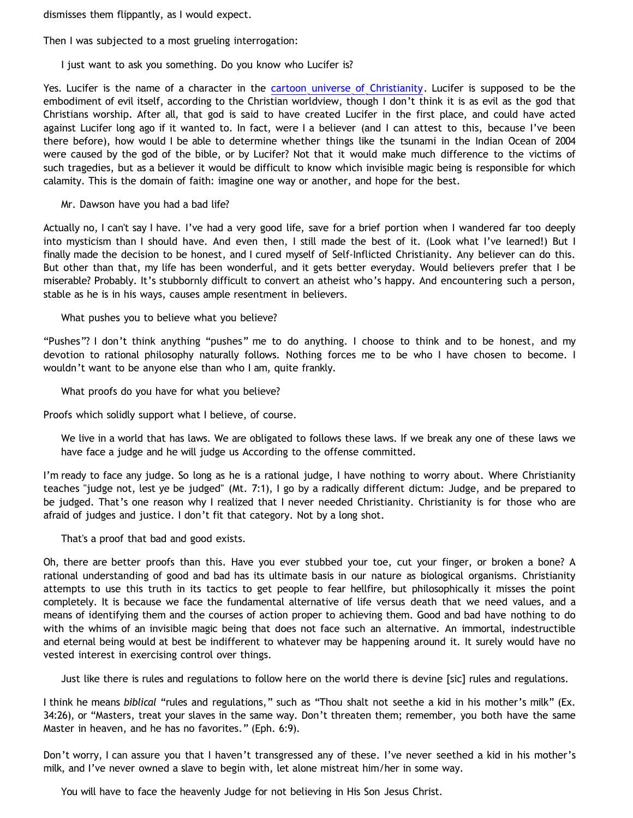dismisses them flippantly, as I would expect.

Then I was subjected to a most grueling interrogation:

I just want to ask you something. Do you know who Lucifer is?

Yes. Lucifer is the name of a character in the [cartoon universe of Christianity.](http://www.geocities.com/katholon/Cartoon_Universe_of_Christianity.htm) Lucifer is supposed to be the embodiment of evil itself, according to the Christian worldview, though I don't think it is as evil as the god that Christians worship. After all, that god is said to have created Lucifer in the first place, and could have acted against Lucifer long ago if it wanted to. In fact, were I a believer (and I can attest to this, because I've been there before), how would I be able to determine whether things like the tsunami in the Indian Ocean of 2004 were caused by the god of the bible, or by Lucifer? Not that it would make much difference to the victims of such tragedies, but as a believer it would be difficult to know which invisible magic being is responsible for which calamity. This is the domain of faith: imagine one way or another, and hope for the best.

Mr. Dawson have you had a bad life?

Actually no, I can't say I have. I've had a very good life, save for a brief portion when I wandered far too deeply into mysticism than I should have. And even then, I still made the best of it. (Look what I've learned!) But I finally made the decision to be honest, and I cured myself of Self-Inflicted Christianity. Any believer can do this. But other than that, my life has been wonderful, and it gets better everyday. Would believers prefer that I be miserable? Probably. It's stubbornly difficult to convert an atheist who's happy. And encountering such a person, stable as he is in his ways, causes ample resentment in believers.

What pushes you to believe what you believe?

"Pushes"? I don't think anything "pushes" me to do anything. I choose to think and to be honest, and my devotion to rational philosophy naturally follows. Nothing forces me to be who I have chosen to become. I wouldn't want to be anyone else than who I am, quite frankly.

What proofs do you have for what you believe?

Proofs which solidly support what I believe, of course.

We live in a world that has laws. We are obligated to follows these laws. If we break any one of these laws we have face a judge and he will judge us According to the offense committed.

I'm ready to face any judge. So long as he is a rational judge, I have nothing to worry about. Where Christianity teaches "judge not, lest ye be judged" (Mt. 7:1), I go by a radically different dictum: Judge, and be prepared to be judged. That's one reason why I realized that I never needed Christianity. Christianity is for those who are afraid of judges and justice. I don't fit that category. Not by a long shot.

That's a proof that bad and good exists.

Oh, there are better proofs than this. Have you ever stubbed your toe, cut your finger, or broken a bone? A rational understanding of good and bad has its ultimate basis in our nature as biological organisms. Christianity attempts to use this truth in its tactics to get people to fear hellfire, but philosophically it misses the point completely. It is because we face the fundamental alternative of life versus death that we need values, and a means of identifying them and the courses of action proper to achieving them. Good and bad have nothing to do with the whims of an invisible magic being that does not face such an alternative. An immortal, indestructible and eternal being would at best be indifferent to whatever may be happening around it. It surely would have no vested interest in exercising control over things.

Just like there is rules and regulations to follow here on the world there is devine [sic] rules and regulations.

I think he means *biblical* "rules and regulations," such as "Thou shalt not seethe a kid in his mother's milk" (Ex. 34:26), or "Masters, treat your slaves in the same way. Don't threaten them; remember, you both have the same Master in heaven, and he has no favorites." (Eph. 6:9).

Don't worry, I can assure you that I haven't transgressed any of these. I've never seethed a kid in his mother's milk, and I've never owned a slave to begin with, let alone mistreat him/her in some way.

You will have to face the heavenly Judge for not believing in His Son Jesus Christ.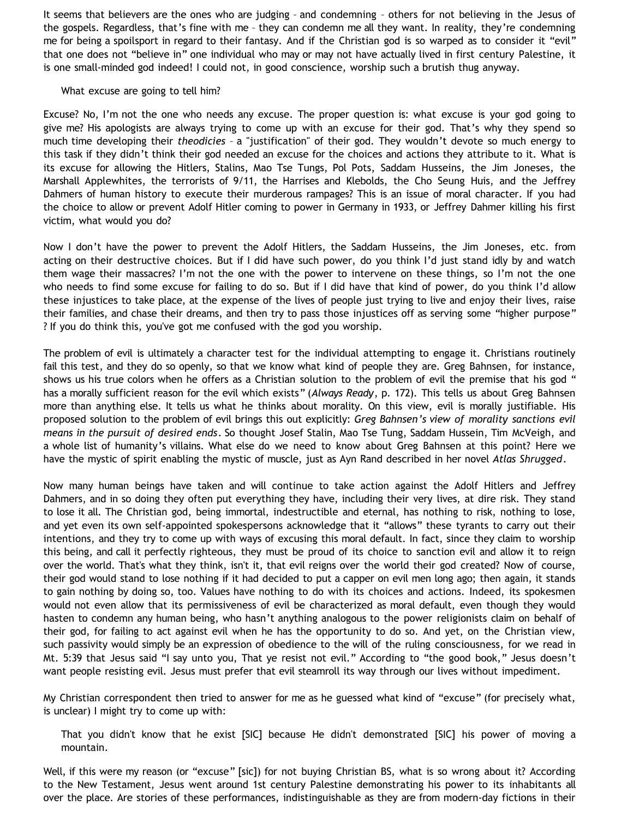It seems that believers are the ones who are judging – and condemning – others for not believing in the Jesus of the gospels. Regardless, that's fine with me – they can condemn me all they want. In reality, they're condemning me for being a spoilsport in regard to their fantasy. And if the Christian god is so warped as to consider it "evil" that one does not "believe in" one individual who may or may not have actually lived in first century Palestine, it is one small-minded god indeed! I could not, in good conscience, worship such a brutish thug anyway.

#### What excuse are going to tell him?

Excuse? No, I'm not the one who needs any excuse. The proper question is: what excuse is your god going to give me? His apologists are always trying to come up with an excuse for their god. That's why they spend so much time developing their *theodicies* – a "justification" of their god. They wouldn't devote so much energy to this task if they didn't think their god needed an excuse for the choices and actions they attribute to it. What is its excuse for allowing the Hitlers, Stalins, Mao Tse Tungs, Pol Pots, Saddam Husseins, the Jim Joneses, the Marshall Applewhites, the terrorists of 9/11, the Harrises and Klebolds, the Cho Seung Huis, and the Jeffrey Dahmers of human history to execute their murderous rampages? This is an issue of moral character. If you had the choice to allow or prevent Adolf Hitler coming to power in Germany in 1933, or Jeffrey Dahmer killing his first victim, what would you do?

Now I don't have the power to prevent the Adolf Hitlers, the Saddam Husseins, the Jim Joneses, etc. from acting on their destructive choices. But if I did have such power, do you think I'd just stand idly by and watch them wage their massacres? I'm not the one with the power to intervene on these things, so I'm not the one who needs to find some excuse for failing to do so. But if I did have that kind of power, do you think I'd allow these injustices to take place, at the expense of the lives of people just trying to live and enjoy their lives, raise their families, and chase their dreams, and then try to pass those injustices off as serving some "higher purpose" ? If you do think this, you've got me confused with the god you worship.

The problem of evil is ultimately a character test for the individual attempting to engage it. Christians routinely fail this test, and they do so openly, so that we know what kind of people they are. Greg Bahnsen, for instance, shows us his true colors when he offers as a Christian solution to the problem of evil the premise that his god " has a morally sufficient reason for the evil which exists" (*Always Ready*, p. 172). This tells us about Greg Bahnsen more than anything else. It tells us what he thinks about morality. On this view, evil is morally justifiable. His proposed solution to the problem of evil brings this out explicitly: *Greg Bahnsen's view of morality sanctions evil means in the pursuit of desired ends*. So thought Josef Stalin, Mao Tse Tung, Saddam Hussein, Tim McVeigh, and a whole list of humanity's villains. What else do we need to know about Greg Bahnsen at this point? Here we have the mystic of spirit enabling the mystic of muscle, just as Ayn Rand described in her novel *Atlas Shrugged*.

Now many human beings have taken and will continue to take action against the Adolf Hitlers and Jeffrey Dahmers, and in so doing they often put everything they have, including their very lives, at dire risk. They stand to lose it all. The Christian god, being immortal, indestructible and eternal, has nothing to risk, nothing to lose, and yet even its own self-appointed spokespersons acknowledge that it "allows" these tyrants to carry out their intentions, and they try to come up with ways of excusing this moral default. In fact, since they claim to worship this being, and call it perfectly righteous, they must be proud of its choice to sanction evil and allow it to reign over the world. That's what they think, isn't it, that evil reigns over the world their god created? Now of course, their god would stand to lose nothing if it had decided to put a capper on evil men long ago; then again, it stands to gain nothing by doing so, too. Values have nothing to do with its choices and actions. Indeed, its spokesmen would not even allow that its permissiveness of evil be characterized as moral default, even though they would hasten to condemn any human being, who hasn't anything analogous to the power religionists claim on behalf of their god, for failing to act against evil when he has the opportunity to do so. And yet, on the Christian view, such passivity would simply be an expression of obedience to the will of the ruling consciousness, for we read in Mt. 5:39 that Jesus said "I say unto you, That ye resist not evil." According to "the good book," Jesus doesn't want people resisting evil. Jesus must prefer that evil steamroll its way through our lives without impediment.

My Christian correspondent then tried to answer for me as he guessed what kind of "excuse" (for precisely what, is unclear) I might try to come up with:

That you didn't know that he exist [SIC] because He didn't demonstrated [SIC] his power of moving a mountain.

Well, if this were my reason (or "excuse" [sic]) for not buying Christian BS, what is so wrong about it? According to the New Testament, Jesus went around 1st century Palestine demonstrating his power to its inhabitants all over the place. Are stories of these performances, indistinguishable as they are from modern-day fictions in their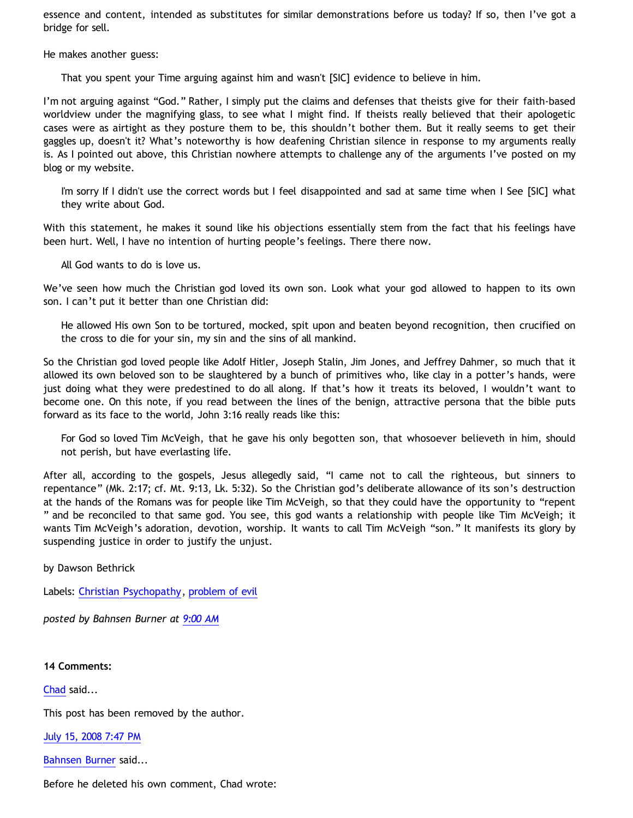essence and content, intended as substitutes for similar demonstrations before us today? If so, then I've got a bridge for sell.

He makes another guess:

That you spent your Time arguing against him and wasn't [SIC] evidence to believe in him.

I'm not arguing against "God." Rather, I simply put the claims and defenses that theists give for their faith-based worldview under the magnifying glass, to see what I might find. If theists really believed that their apologetic cases were as airtight as they posture them to be, this shouldn't bother them. But it really seems to get their gaggles up, doesn't it? What's noteworthy is how deafening Christian silence in response to my arguments really is. As I pointed out above, this Christian nowhere attempts to challenge any of the arguments I've posted on my blog or my website.

I'm sorry If I didn't use the correct words but I feel disappointed and sad at same time when I See [SIC] what they write about God.

With this statement, he makes it sound like his objections essentially stem from the fact that his feelings have been hurt. Well, I have no intention of hurting people's feelings. There there now.

All God wants to do is love us.

We've seen how much the Christian god loved its own son. Look what your god allowed to happen to its own son. I can't put it better than one Christian did:

He allowed His own Son to be tortured, mocked, spit upon and beaten beyond recognition, then crucified on the cross to die for your sin, my sin and the sins of all mankind.

So the Christian god loved people like Adolf Hitler, Joseph Stalin, Jim Jones, and Jeffrey Dahmer, so much that it allowed its own beloved son to be slaughtered by a bunch of primitives who, like clay in a potter's hands, were just doing what they were predestined to do all along. If that's how it treats its beloved, I wouldn't want to become one. On this note, if you read between the lines of the benign, attractive persona that the bible puts forward as its face to the world, John 3:16 really reads like this:

For God so loved Tim McVeigh, that he gave his only begotten son, that whosoever believeth in him, should not perish, but have everlasting life.

After all, according to the gospels, Jesus allegedly said, "I came not to call the righteous, but sinners to repentance" (Mk. 2:17; cf. Mt. 9:13, Lk. 5:32). So the Christian god's deliberate allowance of its son's destruction at the hands of the Romans was for people like Tim McVeigh, so that they could have the opportunity to "repent " and be reconciled to that same god. You see, this god wants a relationship with people like Tim McVeigh; it wants Tim McVeigh's adoration, devotion, worship. It wants to call Tim McVeigh "son." It manifests its glory by suspending justice in order to justify the unjust.

by Dawson Bethrick

Labels: [Christian Psychopathy](http://bahnsenburner.blogspot.com/search/label/Christian%20Psychopathy), [problem of evil](http://bahnsenburner.blogspot.com/search/label/problem%20of%20evil)

*posted by Bahnsen Burner at [9:00 AM](http://bahnsenburner.blogspot.com/2008/07/sic.html)*

#### **14 Comments:**

[Chad](http://www.blogger.com/profile/01220728852907836137) said...

This post has been removed by the author.

[July 15, 2008 7:47 PM](http://bahnsenburner.blogspot.com/2008/07/7265840679423682317)

[Bahnsen Burner](http://www.blogger.com/profile/11030029491768748360) said...

Before he deleted his own comment, Chad wrote: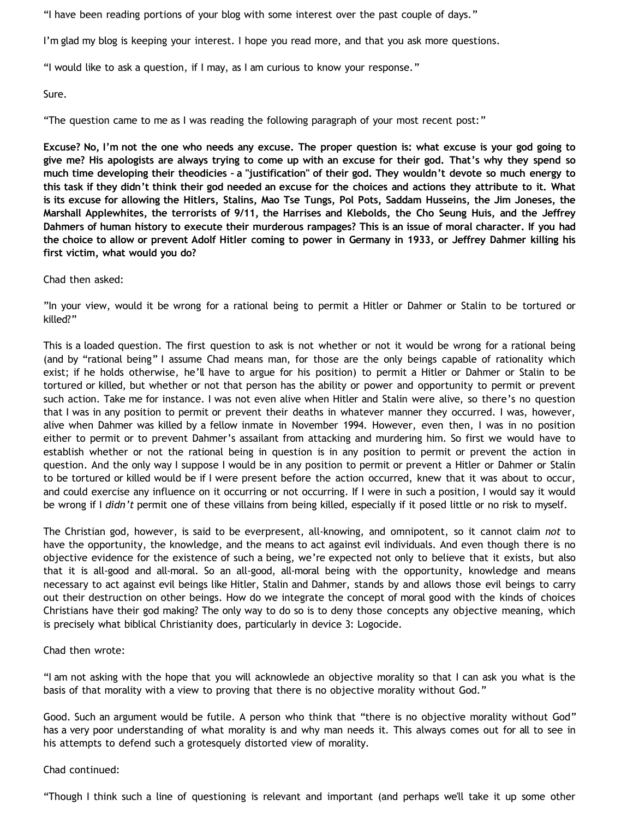"I have been reading portions of your blog with some interest over the past couple of days."

I'm glad my blog is keeping your interest. I hope you read more, and that you ask more questions.

"I would like to ask a question, if I may, as I am curious to know your response."

Sure.

"The question came to me as I was reading the following paragraph of your most recent post:"

**Excuse? No, I'm not the one who needs any excuse. The proper question is: what excuse is your god going to give me? His apologists are always trying to come up with an excuse for their god. That's why they spend so much time developing their theodicies – a "justification" of their god. They wouldn't devote so much energy to this task if they didn't think their god needed an excuse for the choices and actions they attribute to it. What is its excuse for allowing the Hitlers, Stalins, Mao Tse Tungs, Pol Pots, Saddam Husseins, the Jim Joneses, the Marshall Applewhites, the terrorists of 9/11, the Harrises and Klebolds, the Cho Seung Huis, and the Jeffrey Dahmers of human history to execute their murderous rampages? This is an issue of moral character. If you had the choice to allow or prevent Adolf Hitler coming to power in Germany in 1933, or Jeffrey Dahmer killing his first victim, what would you do?**

Chad then asked:

"In your view, would it be wrong for a rational being to permit a Hitler or Dahmer or Stalin to be tortured or killed?"

This is a loaded question. The first question to ask is not whether or not it would be wrong for a rational being (and by "rational being" I assume Chad means man, for those are the only beings capable of rationality which exist; if he holds otherwise, he'll have to argue for his position) to permit a Hitler or Dahmer or Stalin to be tortured or killed, but whether or not that person has the ability or power and opportunity to permit or prevent such action. Take me for instance. I was not even alive when Hitler and Stalin were alive, so there's no question that I was in any position to permit or prevent their deaths in whatever manner they occurred. I was, however, alive when Dahmer was killed by a fellow inmate in November 1994. However, even then, I was in no position either to permit or to prevent Dahmer's assailant from attacking and murdering him. So first we would have to establish whether or not the rational being in question is in any position to permit or prevent the action in question. And the only way I suppose I would be in any position to permit or prevent a Hitler or Dahmer or Stalin to be tortured or killed would be if I were present before the action occurred, knew that it was about to occur, and could exercise any influence on it occurring or not occurring. If I were in such a position, I would say it would be wrong if I *didn't* permit one of these villains from being killed, especially if it posed little or no risk to myself.

The Christian god, however, is said to be everpresent, all-knowing, and omnipotent, so it cannot claim *not* to have the opportunity, the knowledge, and the means to act against evil individuals. And even though there is no objective evidence for the existence of such a being, we're expected not only to believe that it exists, but also that it is all-good and all-moral. So an all-good, all-moral being with the opportunity, knowledge and means necessary to act against evil beings like Hitler, Stalin and Dahmer, stands by and allows those evil beings to carry out their destruction on other beings. How do we integrate the concept of moral good with the kinds of choices Christians have their god making? The only way to do so is to deny those concepts any objective meaning, which is precisely what biblical Christianity does, particularly in device 3: Logocide.

Chad then wrote:

"I am not asking with the hope that you will acknowlede an objective morality so that I can ask you what is the basis of that morality with a view to proving that there is no objective morality without God."

Good. Such an argument would be futile. A person who think that "there is no objective morality without God" has a very poor understanding of what morality is and why man needs it. This always comes out for all to see in his attempts to defend such a grotesquely distorted view of morality.

#### Chad continued:

"Though I think such a line of questioning is relevant and important (and perhaps we'll take it up some other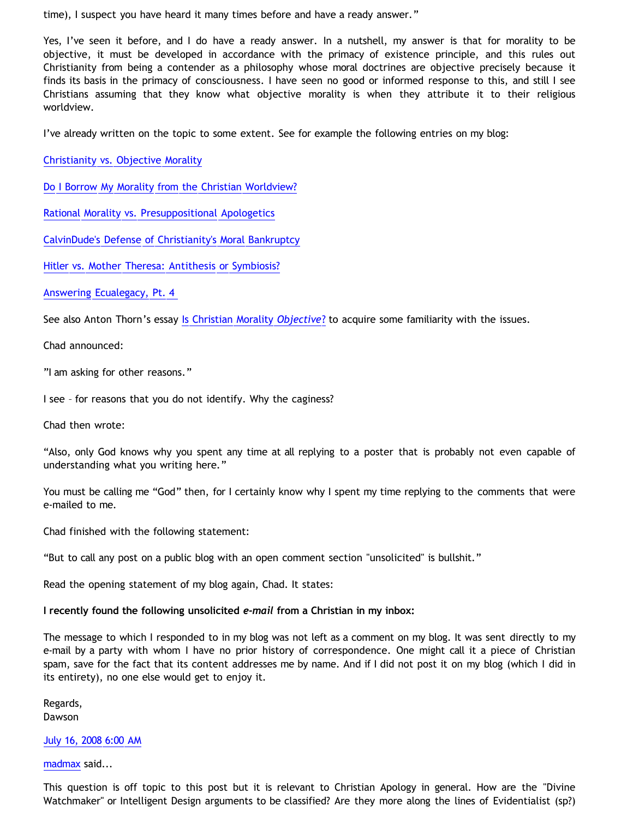time), I suspect you have heard it many times before and have a ready answer."

Yes, I've seen it before, and I do have a ready answer. In a nutshell, my answer is that for morality to be objective, it must be developed in accordance with the primacy of existence principle, and this rules out Christianity from being a contender as a philosophy whose moral doctrines are objective precisely because it finds its basis in the primacy of consciousness. I have seen no good or informed response to this, and still I see Christians assuming that they know what objective morality is when they attribute it to their religious worldview.

I've already written on the topic to some extent. See for example the following entries on my blog:

[Christianity vs. Objective Morality](http://bahnsenburner.blogspot.com/2005/03/christianity-vs-objective-morality.html)

[Do I Borrow My Morality from the Christian Worldview?](http://bahnsenburner.blogspot.com/2005/04/do-i-borrow-my-morality-from-christian.html)

[Rational Morality vs. Presuppositional Apologetics](http://bahnsenburner.blogspot.com/2006/03/rational-morality-vs-presuppositional.html)

[CalvinDude's Defense of Christianity's Moral Bankruptcy](http://bahnsenburner.blogspot.com/2006/03/calvindudes-defense-of-christianitys.html)

[Hitler vs. Mother Theresa: Antithesis or Symbiosis?](http://bahnsenburner.blogspot.com/2006/04/hitler-vs-mother-theresa-antithesis-or.html)

[Answering Ecualegacy, Pt. 4](http://bahnsenburner.blogspot.com/2007/05/answering-ecualegacy-pt-4.html)

See also Anton Thorn's essay [Is Christian Morality](http://www.geocities.com/Athens/Sparta/1019/CMO/CMO1.htm) *[Objective](http://www.geocities.com/Athens/Sparta/1019/CMO/CMO1.htm)*[?](http://www.geocities.com/Athens/Sparta/1019/CMO/CMO1.htm) to acquire some familiarity with the issues.

Chad announced:

"I am asking for other reasons."

I see – for reasons that you do not identify. Why the caginess?

Chad then wrote:

"Also, only God knows why you spent any time at all replying to a poster that is probably not even capable of understanding what you writing here."

You must be calling me "God" then, for I certainly know why I spent my time replying to the comments that were e-mailed to me.

Chad finished with the following statement:

"But to call any post on a public blog with an open comment section "unsolicited" is bullshit."

Read the opening statement of my blog again, Chad. It states:

**I recently found the following unsolicited** *e-mail* **from a Christian in my inbox:**

The message to which I responded to in my blog was not left as a comment on my blog. It was sent directly to my e-mail by a party with whom I have no prior history of correspondence. One might call it a piece of Christian spam, save for the fact that its content addresses me by name. And if I did not post it on my blog (which I did in its entirety), no one else would get to enjoy it.

Regards, Dawson

[July 16, 2008 6:00 AM](http://bahnsenburner.blogspot.com/2008/07/1809025926022187878)

[madmax](http://www.blogger.com/profile/14375140131881725965) said...

This question is off topic to this post but it is relevant to Christian Apology in general. How are the "Divine Watchmaker" or Intelligent Design arguments to be classified? Are they more along the lines of Evidentialist (sp?)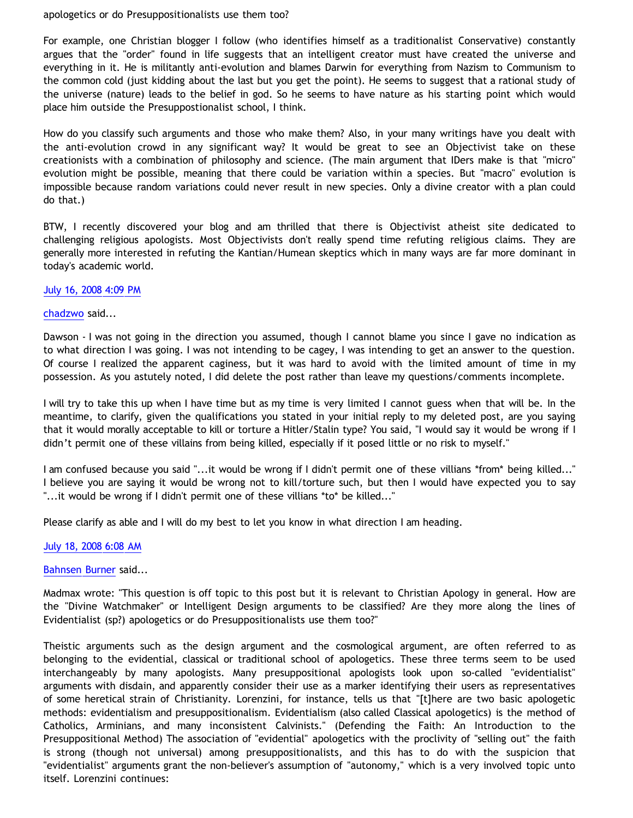#### apologetics or do Presuppositionalists use them too?

For example, one Christian blogger I follow (who identifies himself as a traditionalist Conservative) constantly argues that the "order" found in life suggests that an intelligent creator must have created the universe and everything in it. He is militantly anti-evolution and blames Darwin for everything from Nazism to Communism to the common cold (just kidding about the last but you get the point). He seems to suggest that a rational study of the universe (nature) leads to the belief in god. So he seems to have nature as his starting point which would place him outside the Presuppostionalist school, I think.

How do you classify such arguments and those who make them? Also, in your many writings have you dealt with the anti-evolution crowd in any significant way? It would be great to see an Objectivist take on these creationists with a combination of philosophy and science. (The main argument that IDers make is that "micro" evolution might be possible, meaning that there could be variation within a species. But "macro" evolution is impossible because random variations could never result in new species. Only a divine creator with a plan could do that.)

BTW, I recently discovered your blog and am thrilled that there is Objectivist atheist site dedicated to challenging religious apologists. Most Objectivists don't really spend time refuting religious claims. They are generally more interested in refuting the Kantian/Humean skeptics which in many ways are far more dominant in today's academic world.

#### [July 16, 2008 4:09 PM](http://bahnsenburner.blogspot.com/2008/07/628448094762081852)

# [chadzwo](http://www.blogger.com/profile/05829082015713400364) said...

Dawson - I was not going in the direction you assumed, though I cannot blame you since I gave no indication as to what direction I was going. I was not intending to be cagey, I was intending to get an answer to the question. Of course I realized the apparent caginess, but it was hard to avoid with the limited amount of time in my possession. As you astutely noted, I did delete the post rather than leave my questions/comments incomplete.

I will try to take this up when I have time but as my time is very limited I cannot guess when that will be. In the meantime, to clarify, given the qualifications you stated in your initial reply to my deleted post, are you saying that it would morally acceptable to kill or torture a Hitler/Stalin type? You said, "I would say it would be wrong if I didn't permit one of these villains from being killed, especially if it posed little or no risk to myself."

I am confused because you said "...it would be wrong if I didn't permit one of these villians \*from\* being killed..." I believe you are saying it would be wrong not to kill/torture such, but then I would have expected you to say "...it would be wrong if I didn't permit one of these villians \*to\* be killed..."

Please clarify as able and I will do my best to let you know in what direction I am heading.

# [July 18, 2008 6:08 AM](http://bahnsenburner.blogspot.com/2008/07/5767497909230063044)

[Bahnsen Burner](http://www.blogger.com/profile/11030029491768748360) said...

Madmax wrote: "This question is off topic to this post but it is relevant to Christian Apology in general. How are the "Divine Watchmaker" or Intelligent Design arguments to be classified? Are they more along the lines of Evidentialist (sp?) apologetics or do Presuppositionalists use them too?"

Theistic arguments such as the design argument and the cosmological argument, are often referred to as belonging to the evidential, classical or traditional school of apologetics. These three terms seem to be used interchangeably by many apologists. Many presuppositional apologists look upon so-called "evidentialist" arguments with disdain, and apparently consider their use as a marker identifying their users as representatives of some heretical strain of Christianity. Lorenzini, for instance, tells us that "[t]here are two basic apologetic methods: evidentialism and presuppositionalism. Evidentialism (also called Classical apologetics) is the method of Catholics, Arminians, and many inconsistent Calvinists." (Defending the Faith: An Introduction to the Presuppositional Method) The association of "evidential" apologetics with the proclivity of "selling out" the faith is strong (though not universal) among presuppositionalists, and this has to do with the suspicion that "evidentialist" arguments grant the non-believer's assumption of "autonomy," which is a very involved topic unto itself. Lorenzini continues: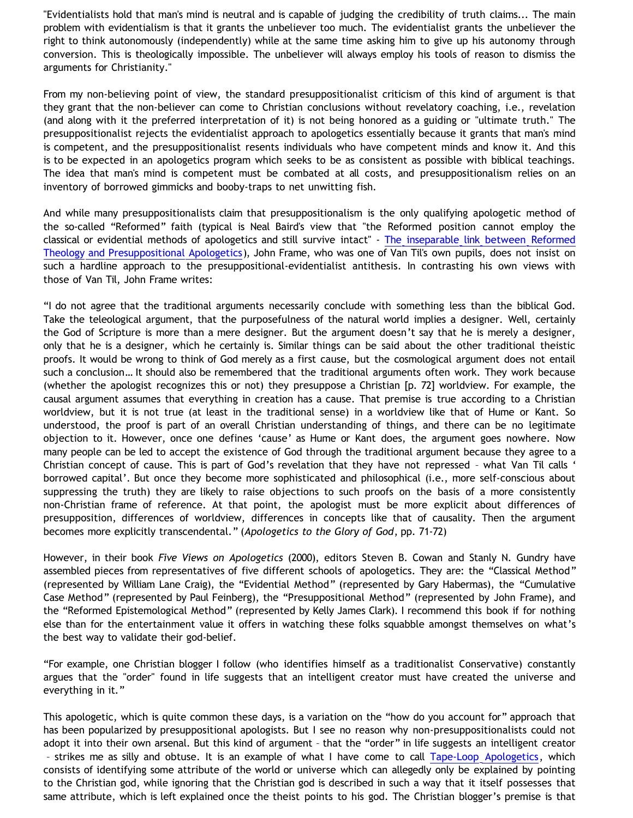"Evidentialists hold that man's mind is neutral and is capable of judging the credibility of truth claims... The main problem with evidentialism is that it grants the unbeliever too much. The evidentialist grants the unbeliever the right to think autonomously (independently) while at the same time asking him to give up his autonomy through conversion. This is theologically impossible. The unbeliever will always employ his tools of reason to dismiss the arguments for Christianity."

From my non-believing point of view, the standard presuppositionalist criticism of this kind of argument is that they grant that the non-believer can come to Christian conclusions without revelatory coaching, i.e., revelation (and along with it the preferred interpretation of it) is not being honored as a guiding or "ultimate truth." The presuppositionalist rejects the evidentialist approach to apologetics essentially because it grants that man's mind is competent, and the presuppositionalist resents individuals who have competent minds and know it. And this is to be expected in an apologetics program which seeks to be as consistent as possible with biblical teachings. The idea that man's mind is competent must be combated at all costs, and presuppositionalism relies on an inventory of borrowed gimmicks and booby-traps to net unwitting fish.

And while many presuppositionalists claim that presuppositionalism is the only qualifying apologetic method of the so-called "Reformed" faith (typical is Neal Baird's view that "the Reformed position cannot employ the classical or evidential methods of apologetics and still survive intact" - [The inseparable link between Reformed](http://www.reformed.org/apologetics/index.html?mainframe=/apologetics/baird.html) [Theology and Presuppositional Apologetics](http://www.reformed.org/apologetics/index.html?mainframe=/apologetics/baird.html)), John Frame, who was one of Van Til's own pupils, does not insist on such a hardline approach to the presuppositional-evidentialist antithesis. In contrasting his own views with those of Van Til, John Frame writes:

"I do not agree that the traditional arguments necessarily conclude with something less than the biblical God. Take the teleological argument, that the purposefulness of the natural world implies a designer. Well, certainly the God of Scripture is more than a mere designer. But the argument doesn't say that he is merely a designer, only that he is a designer, which he certainly is. Similar things can be said about the other traditional theistic proofs. It would be wrong to think of God merely as a first cause, but the cosmological argument does not entail such a conclusion… It should also be remembered that the traditional arguments often work. They work because (whether the apologist recognizes this or not) they presuppose a Christian [p. 72] worldview. For example, the causal argument assumes that everything in creation has a cause. That premise is true according to a Christian worldview, but it is not true (at least in the traditional sense) in a worldview like that of Hume or Kant. So understood, the proof is part of an overall Christian understanding of things, and there can be no legitimate objection to it. However, once one defines 'cause' as Hume or Kant does, the argument goes nowhere. Now many people can be led to accept the existence of God through the traditional argument because they agree to a Christian concept of cause. This is part of God's revelation that they have not repressed – what Van Til calls ' borrowed capital'. But once they become more sophisticated and philosophical (i.e., more self-conscious about suppressing the truth) they are likely to raise objections to such proofs on the basis of a more consistently non-Christian frame of reference. At that point, the apologist must be more explicit about differences of presupposition, differences of worldview, differences in concepts like that of causality. Then the argument becomes more explicitly transcendental." (*Apologetics to the Glory of God*, pp. 71-72)

However, in their book *Five Views on Apologetics* (2000), editors Steven B. Cowan and Stanly N. Gundry have assembled pieces from representatives of five different schools of apologetics. They are: the "Classical Method" (represented by William Lane Craig), the "Evidential Method" (represented by Gary Habermas), the "Cumulative Case Method" (represented by Paul Feinberg), the "Presuppositional Method" (represented by John Frame), and the "Reformed Epistemological Method" (represented by Kelly James Clark). I recommend this book if for nothing else than for the entertainment value it offers in watching these folks squabble amongst themselves on what's the best way to validate their god-belief.

"For example, one Christian blogger I follow (who identifies himself as a traditionalist Conservative) constantly argues that the "order" found in life suggests that an intelligent creator must have created the universe and everything in it."

This apologetic, which is quite common these days, is a variation on the "how do you account for" approach that has been popularized by presuppositional apologists. But I see no reason why non-presuppositionalists could not adopt it into their own arsenal. But this kind of argument – that the "order" in life suggests an intelligent creator – strikes me as silly and obtuse. It is an example of what I have come to call [Tape-Loop Apologetics,](http://bahnsenburner.blogspot.com/2005/11/tape-loop-apologetics.html) which consists of identifying some attribute of the world or universe which can allegedly only be explained by pointing to the Christian god, while ignoring that the Christian god is described in such a way that it itself possesses that same attribute, which is left explained once the theist points to his god. The Christian blogger's premise is that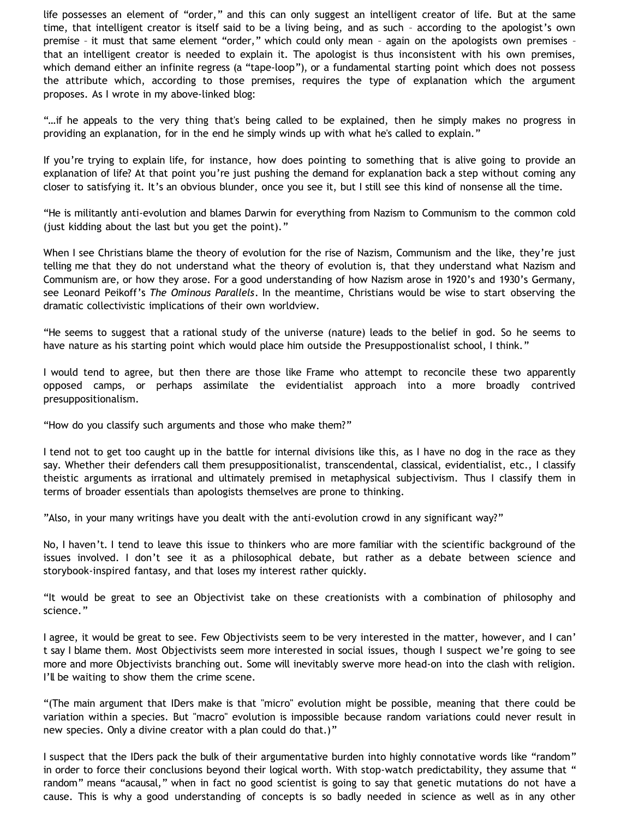life possesses an element of "order," and this can only suggest an intelligent creator of life. But at the same time, that intelligent creator is itself said to be a living being, and as such – according to the apologist's own premise – it must that same element "order," which could only mean – again on the apologists own premises – that an intelligent creator is needed to explain it. The apologist is thus inconsistent with his own premises, which demand either an infinite regress (a "tape-loop"), or a fundamental starting point which does not possess the attribute which, according to those premises, requires the type of explanation which the argument proposes. As I wrote in my above-linked blog:

"…if he appeals to the very thing that's being called to be explained, then he simply makes no progress in providing an explanation, for in the end he simply winds up with what he's called to explain."

If you're trying to explain life, for instance, how does pointing to something that is alive going to provide an explanation of life? At that point you're just pushing the demand for explanation back a step without coming any closer to satisfying it. It's an obvious blunder, once you see it, but I still see this kind of nonsense all the time.

"He is militantly anti-evolution and blames Darwin for everything from Nazism to Communism to the common cold (just kidding about the last but you get the point)."

When I see Christians blame the theory of evolution for the rise of Nazism, Communism and the like, they're just telling me that they do not understand what the theory of evolution is, that they understand what Nazism and Communism are, or how they arose. For a good understanding of how Nazism arose in 1920's and 1930's Germany, see Leonard Peikoff's *The Ominous Parallels*. In the meantime, Christians would be wise to start observing the dramatic collectivistic implications of their own worldview.

"He seems to suggest that a rational study of the universe (nature) leads to the belief in god. So he seems to have nature as his starting point which would place him outside the Presuppostionalist school, I think."

I would tend to agree, but then there are those like Frame who attempt to reconcile these two apparently opposed camps, or perhaps assimilate the evidentialist approach into a more broadly contrived presuppositionalism.

"How do you classify such arguments and those who make them?"

I tend not to get too caught up in the battle for internal divisions like this, as I have no dog in the race as they say. Whether their defenders call them presuppositionalist, transcendental, classical, evidentialist, etc., I classify theistic arguments as irrational and ultimately premised in metaphysical subjectivism. Thus I classify them in terms of broader essentials than apologists themselves are prone to thinking.

"Also, in your many writings have you dealt with the anti-evolution crowd in any significant way?"

No, I haven't. I tend to leave this issue to thinkers who are more familiar with the scientific background of the issues involved. I don't see it as a philosophical debate, but rather as a debate between science and storybook-inspired fantasy, and that loses my interest rather quickly.

"It would be great to see an Objectivist take on these creationists with a combination of philosophy and science."

I agree, it would be great to see. Few Objectivists seem to be very interested in the matter, however, and I can' t say I blame them. Most Objectivists seem more interested in social issues, though I suspect we're going to see more and more Objectivists branching out. Some will inevitably swerve more head-on into the clash with religion. I'll be waiting to show them the crime scene.

"(The main argument that IDers make is that "micro" evolution might be possible, meaning that there could be variation within a species. But "macro" evolution is impossible because random variations could never result in new species. Only a divine creator with a plan could do that.)"

I suspect that the IDers pack the bulk of their argumentative burden into highly connotative words like "random" in order to force their conclusions beyond their logical worth. With stop-watch predictability, they assume that " random" means "acausal," when in fact no good scientist is going to say that genetic mutations do not have a cause. This is why a good understanding of concepts is so badly needed in science as well as in any other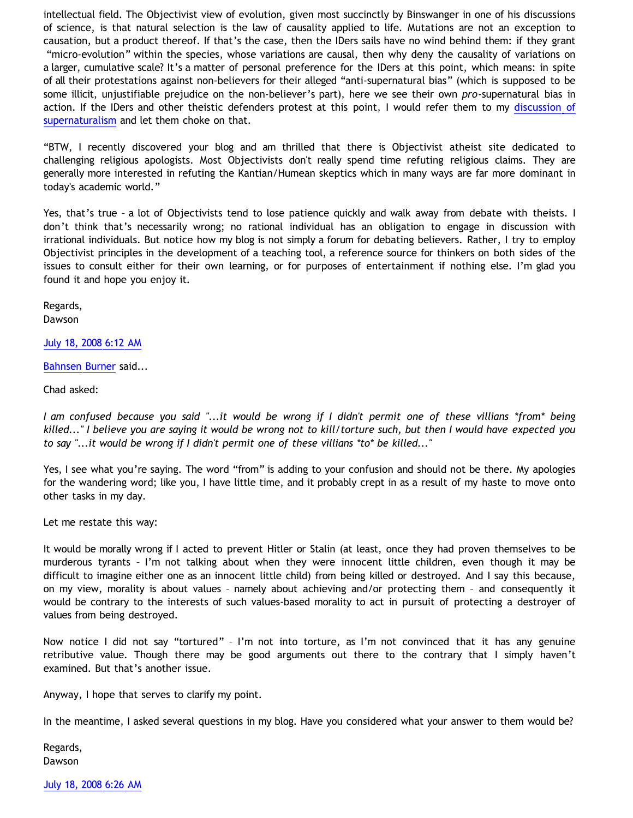intellectual field. The Objectivist view of evolution, given most succinctly by Binswanger in one of his discussions of science, is that natural selection is the law of causality applied to life. Mutations are not an exception to causation, but a product thereof. If that's the case, then the IDers sails have no wind behind them: if they grant "micro-evolution" within the species, whose variations are causal, then why deny the causality of variations on a larger, cumulative scale? It's a matter of personal preference for the IDers at this point, which means: in spite of all their protestations against non-believers for their alleged "anti-supernatural bias" (which is supposed to be some illicit, unjustifiable prejudice on the non-believer's part), here we see their own *pro*-supernatural bias in action. If the IDers and other theistic defenders protest at this point, I would refer them to my [discussion of](http://www.geocities.com/katholon/Bahnsen_Supernatural.htm) [supernaturalism](http://www.geocities.com/katholon/Bahnsen_Supernatural.htm) and let them choke on that.

"BTW, I recently discovered your blog and am thrilled that there is Objectivist atheist site dedicated to challenging religious apologists. Most Objectivists don't really spend time refuting religious claims. They are generally more interested in refuting the Kantian/Humean skeptics which in many ways are far more dominant in today's academic world."

Yes, that's true – a lot of Objectivists tend to lose patience quickly and walk away from debate with theists. I don't think that's necessarily wrong; no rational individual has an obligation to engage in discussion with irrational individuals. But notice how my blog is not simply a forum for debating believers. Rather, I try to employ Objectivist principles in the development of a teaching tool, a reference source for thinkers on both sides of the issues to consult either for their own learning, or for purposes of entertainment if nothing else. I'm glad you found it and hope you enjoy it.

Regards, Dawson

[July 18, 2008 6:12 AM](http://bahnsenburner.blogspot.com/2008/07/3039809216212461759)

[Bahnsen Burner](http://www.blogger.com/profile/11030029491768748360) said...

Chad asked:

*I am confused because you said "...it would be wrong if I didn't permit one of these villians \*from\* being killed..." I believe you are saying it would be wrong not to kill/torture such, but then I would have expected you to say "...it would be wrong if I didn't permit one of these villians \*to\* be killed..."*

Yes, I see what you're saying. The word "from" is adding to your confusion and should not be there. My apologies for the wandering word; like you, I have little time, and it probably crept in as a result of my haste to move onto other tasks in my day.

Let me restate this way:

It would be morally wrong if I acted to prevent Hitler or Stalin (at least, once they had proven themselves to be murderous tyrants – I'm not talking about when they were innocent little children, even though it may be difficult to imagine either one as an innocent little child) from being killed or destroyed. And I say this because, on my view, morality is about values – namely about achieving and/or protecting them – and consequently it would be contrary to the interests of such values-based morality to act in pursuit of protecting a destroyer of values from being destroyed.

Now notice I did not say "tortured" – I'm not into torture, as I'm not convinced that it has any genuine retributive value. Though there may be good arguments out there to the contrary that I simply haven't examined. But that's another issue.

Anyway, I hope that serves to clarify my point.

In the meantime, I asked several questions in my blog. Have you considered what your answer to them would be?

Regards, Dawson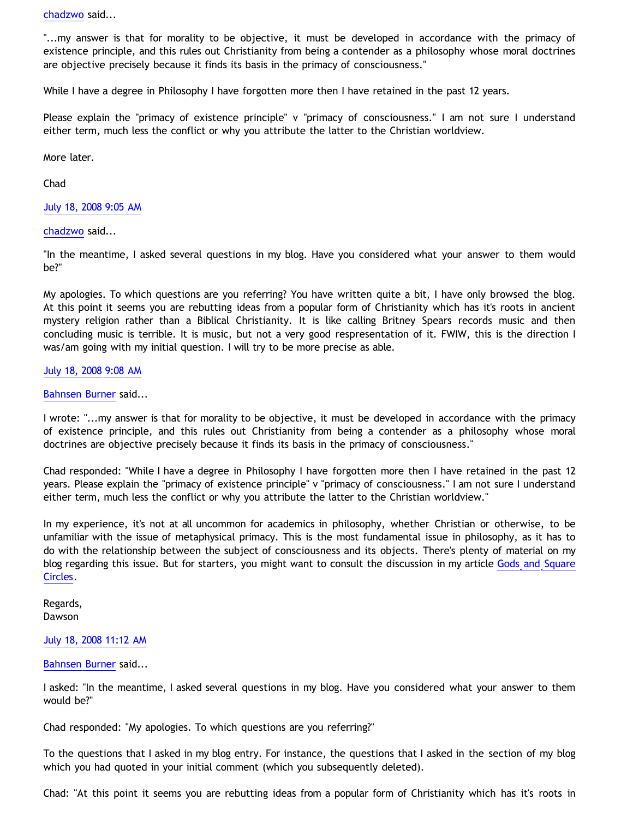[chadzwo](http://www.blogger.com/profile/05829082015713400364) said...

"...my answer is that for morality to be objective, it must be developed in accordance with the primacy of existence principle, and this rules out Christianity from being a contender as a philosophy whose moral doctrines are objective precisely because it finds its basis in the primacy of consciousness."

While I have a degree in Philosophy I have forgotten more then I have retained in the past 12 years.

Please explain the "primacy of existence principle" v "primacy of consciousness." I am not sure I understand either term, much less the conflict or why you attribute the latter to the Christian worldview.

More later.

Chad

#### [July 18, 2008 9:05 AM](http://bahnsenburner.blogspot.com/2008/07/7366831528264089031)

#### [chadzwo](http://www.blogger.com/profile/05829082015713400364) said...

"In the meantime, I asked several questions in my blog. Have you considered what your answer to them would be?"

My apologies. To which questions are you referring? You have written quite a bit, I have only browsed the blog. At this point it seems you are rebutting ideas from a popular form of Christianity which has it's roots in ancient mystery religion rather than a Biblical Christianity. It is like calling Britney Spears records music and then concluding music is terrible. It is music, but not a very good respresentation of it. FWIW, this is the direction I was/am going with my initial question. I will try to be more precise as able.

#### [July 18, 2008 9:08 AM](http://bahnsenburner.blogspot.com/2008/07/3856407881839357628)

#### [Bahnsen Burner](http://www.blogger.com/profile/11030029491768748360) said...

I wrote: "...my answer is that for morality to be objective, it must be developed in accordance with the primacy of existence principle, and this rules out Christianity from being a contender as a philosophy whose moral doctrines are objective precisely because it finds its basis in the primacy of consciousness."

Chad responded: "While I have a degree in Philosophy I have forgotten more then I have retained in the past 12 years. Please explain the "primacy of existence principle" v "primacy of consciousness." I am not sure I understand either term, much less the conflict or why you attribute the latter to the Christian worldview."

In my experience, it's not at all uncommon for academics in philosophy, whether Christian or otherwise, to be unfamiliar with the issue of metaphysical primacy. This is the most fundamental issue in philosophy, as it has to do with the relationship between the subject of consciousness and its objects. There's plenty of material on my blog regarding this issue. But for starters, you might want to consult the discussion in my article [Gods and Square](http://www.geocities.com/katholon/squarecircles.htm) [Circles](http://www.geocities.com/katholon/squarecircles.htm).

Regards, Dawson

#### [July 18, 2008 11:12 AM](http://bahnsenburner.blogspot.com/2008/07/1123745824263482726)

## [Bahnsen Burner](http://www.blogger.com/profile/11030029491768748360) said...

I asked: "In the meantime, I asked several questions in my blog. Have you considered what your answer to them would be?"

Chad responded: "My apologies. To which questions are you referring?"

To the questions that I asked in my blog entry. For instance, the questions that I asked in the section of my blog which you had quoted in your initial comment (which you subsequently deleted).

Chad: "At this point it seems you are rebutting ideas from a popular form of Christianity which has it's roots in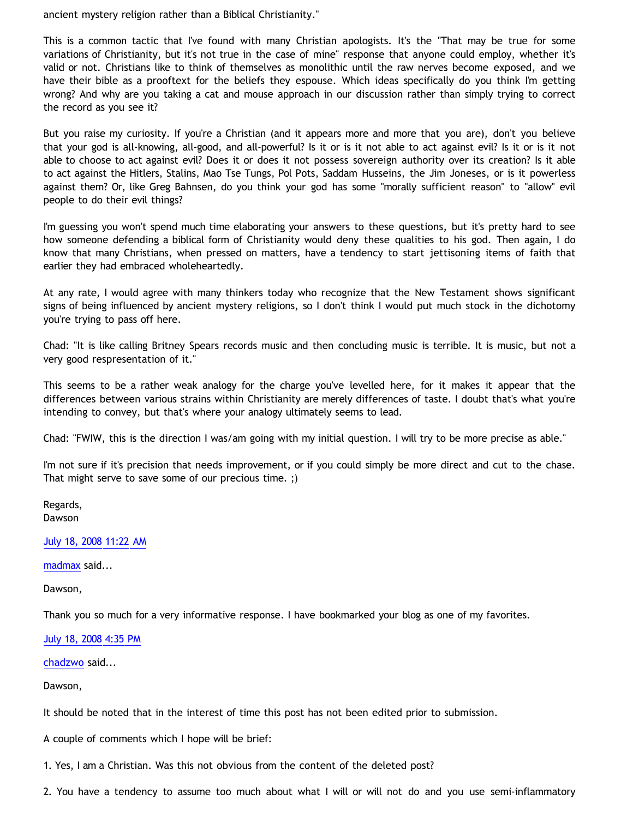ancient mystery religion rather than a Biblical Christianity."

This is a common tactic that I've found with many Christian apologists. It's the "That may be true for some variations of Christianity, but it's not true in the case of mine" response that anyone could employ, whether it's valid or not. Christians like to think of themselves as monolithic until the raw nerves become exposed, and we have their bible as a prooftext for the beliefs they espouse. Which ideas specifically do you think I'm getting wrong? And why are you taking a cat and mouse approach in our discussion rather than simply trying to correct the record as you see it?

But you raise my curiosity. If you're a Christian (and it appears more and more that you are), don't you believe that your god is all-knowing, all-good, and all-powerful? Is it or is it not able to act against evil? Is it or is it not able to choose to act against evil? Does it or does it not possess sovereign authority over its creation? Is it able to act against the Hitlers, Stalins, Mao Tse Tungs, Pol Pots, Saddam Husseins, the Jim Joneses, or is it powerless against them? Or, like Greg Bahnsen, do you think your god has some "morally sufficient reason" to "allow" evil people to do their evil things?

I'm guessing you won't spend much time elaborating your answers to these questions, but it's pretty hard to see how someone defending a biblical form of Christianity would deny these qualities to his god. Then again, I do know that many Christians, when pressed on matters, have a tendency to start jettisoning items of faith that earlier they had embraced wholeheartedly.

At any rate, I would agree with many thinkers today who recognize that the New Testament shows significant signs of being influenced by ancient mystery religions, so I don't think I would put much stock in the dichotomy you're trying to pass off here.

Chad: "It is like calling Britney Spears records music and then concluding music is terrible. It is music, but not a very good respresentation of it."

This seems to be a rather weak analogy for the charge you've levelled here, for it makes it appear that the differences between various strains within Christianity are merely differences of taste. I doubt that's what you're intending to convey, but that's where your analogy ultimately seems to lead.

Chad: "FWIW, this is the direction I was/am going with my initial question. I will try to be more precise as able."

I'm not sure if it's precision that needs improvement, or if you could simply be more direct and cut to the chase. That might serve to save some of our precious time. ;)

Regards, Dawson

[July 18, 2008 11:22 AM](http://bahnsenburner.blogspot.com/2008/07/5510004947477306964)

[madmax](http://www.blogger.com/profile/14375140131881725965) said...

Dawson,

Thank you so much for a very informative response. I have bookmarked your blog as one of my favorites.

[July 18, 2008 4:35 PM](http://bahnsenburner.blogspot.com/2008/07/4854064016518941247)

[chadzwo](http://www.blogger.com/profile/05829082015713400364) said...

Dawson,

It should be noted that in the interest of time this post has not been edited prior to submission.

A couple of comments which I hope will be brief:

1. Yes, I am a Christian. Was this not obvious from the content of the deleted post?

2. You have a tendency to assume too much about what I will or will not do and you use semi-inflammatory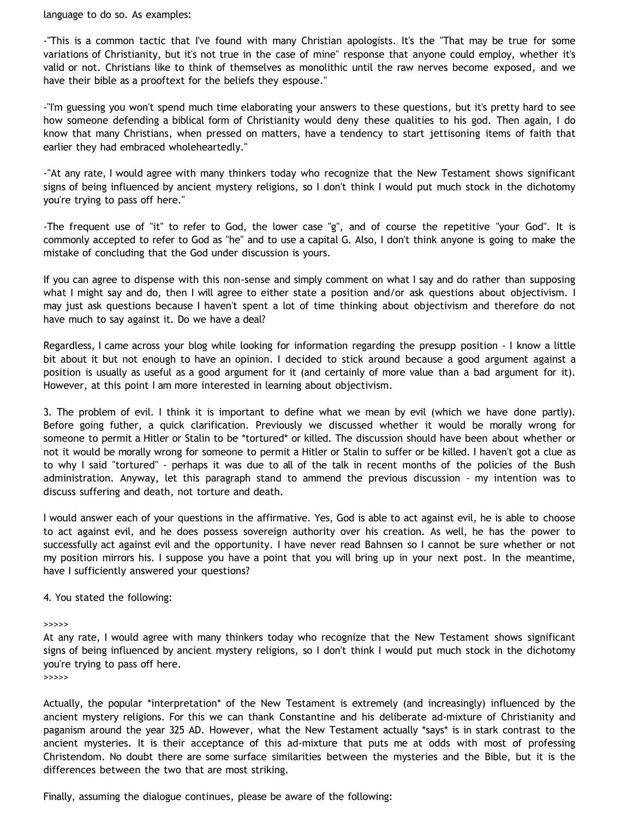language to do so. As examples:

-"This is a common tactic that I've found with many Christian apologists. It's the "That may be true for some variations of Christianity, but it's not true in the case of mine" response that anyone could employ, whether it's valid or not. Christians like to think of themselves as monolithic until the raw nerves become exposed, and we have their bible as a prooftext for the beliefs they espouse."

-"I'm guessing you won't spend much time elaborating your answers to these questions, but it's pretty hard to see how someone defending a biblical form of Christianity would deny these qualities to his god. Then again, I do know that many Christians, when pressed on matters, have a tendency to start jettisoning items of faith that earlier they had embraced wholeheartedly."

-"At any rate, I would agree with many thinkers today who recognize that the New Testament shows significant signs of being influenced by ancient mystery religions, so I don't think I would put much stock in the dichotomy you're trying to pass off here."

-The frequent use of "it" to refer to God, the lower case "g", and of course the repetitive "your God". It is commonly accepted to refer to God as "he" and to use a capital G. Also, I don't think anyone is going to make the mistake of concluding that the God under discussion is yours.

If you can agree to dispense with this non-sense and simply comment on what I say and do rather than supposing what I might say and do, then I will agree to either state a position and/or ask questions about objectivism. I may just ask questions because I haven't spent a lot of time thinking about objectivism and therefore do not have much to say against it. Do we have a deal?

Regardless, I came across your blog while looking for information regarding the presupp position - I know a little bit about it but not enough to have an opinion. I decided to stick around because a good argument against a position is usually as useful as a good argument for it (and certainly of more value than a bad argument for it). However, at this point I am more interested in learning about objectivism.

3. The problem of evil. I think it is important to define what we mean by evil (which we have done partly). Before going futher, a quick clarification. Previously we discussed whether it would be morally wrong for someone to permit a Hitler or Stalin to be \*tortured\* or killed. The discussion should have been about whether or not it would be morally wrong for someone to permit a Hitler or Stalin to suffer or be killed. I haven't got a clue as to why I said "tortured" - perhaps it was due to all of the talk in recent months of the policies of the Bush administration. Anyway, let this paragraph stand to ammend the previous discussion - my intention was to discuss suffering and death, not torture and death.

I would answer each of your questions in the affirmative. Yes, God is able to act against evil, he is able to choose to act against evil, and he does possess sovereign authority over his creation. As well, he has the power to successfully act against evil and the opportunity. I have never read Bahnsen so I cannot be sure whether or not my position mirrors his. I suppose you have a point that you will bring up in your next post. In the meantime, have I sufficiently answered your questions?

# 4. You stated the following:

>>>>>

At any rate, I would agree with many thinkers today who recognize that the New Testament shows significant signs of being influenced by ancient mystery religions, so I don't think I would put much stock in the dichotomy you're trying to pass off here.

>>>>>

Actually, the popular \*interpretation\* of the New Testament is extremely (and increasingly) influenced by the ancient mystery religions. For this we can thank Constantine and his deliberate ad-mixture of Christianity and paganism around the year 325 AD. However, what the New Testament actually \*says\* is in stark contrast to the ancient mysteries. It is their acceptance of this ad-mixture that puts me at odds with most of professing Christendom. No doubt there are some surface similarities between the mysteries and the Bible, but it is the differences between the two that are most striking.

Finally, assuming the dialogue continues, please be aware of the following: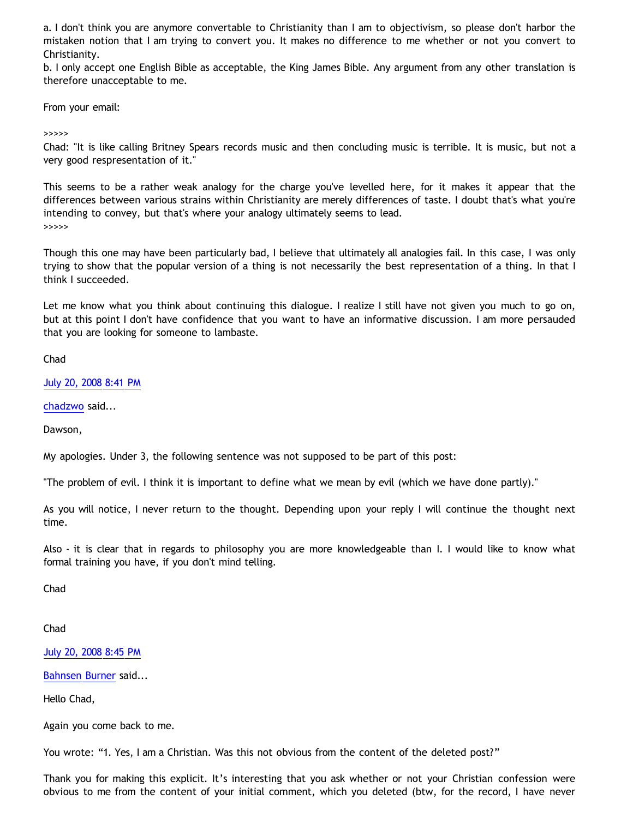a. I don't think you are anymore convertable to Christianity than I am to objectivism, so please don't harbor the mistaken notion that I am trying to convert you. It makes no difference to me whether or not you convert to Christianity.

b. I only accept one English Bible as acceptable, the King James Bible. Any argument from any other translation is therefore unacceptable to me.

From your email:

>>>>>

Chad: "It is like calling Britney Spears records music and then concluding music is terrible. It is music, but not a very good respresentation of it."

This seems to be a rather weak analogy for the charge you've levelled here, for it makes it appear that the differences between various strains within Christianity are merely differences of taste. I doubt that's what you're intending to convey, but that's where your analogy ultimately seems to lead. >>>>>

Though this one may have been particularly bad, I believe that ultimately all analogies fail. In this case, I was only trying to show that the popular version of a thing is not necessarily the best representation of a thing. In that I think I succeeded.

Let me know what you think about continuing this dialogue. I realize I still have not given you much to go on, but at this point I don't have confidence that you want to have an informative discussion. I am more persauded that you are looking for someone to lambaste.

Chad

[July 20, 2008 8:41 PM](http://bahnsenburner.blogspot.com/2008/07/9205621573046460896)

[chadzwo](http://www.blogger.com/profile/05829082015713400364) said...

Dawson,

My apologies. Under 3, the following sentence was not supposed to be part of this post:

"The problem of evil. I think it is important to define what we mean by evil (which we have done partly)."

As you will notice, I never return to the thought. Depending upon your reply I will continue the thought next time.

Also - it is clear that in regards to philosophy you are more knowledgeable than I. I would like to know what formal training you have, if you don't mind telling.

Chad

Chad

[July 20, 2008 8:45 PM](http://bahnsenburner.blogspot.com/2008/07/7103699063219100611)

[Bahnsen Burner](http://www.blogger.com/profile/11030029491768748360) said...

Hello Chad,

Again you come back to me.

You wrote: "1. Yes, I am a Christian. Was this not obvious from the content of the deleted post?"

Thank you for making this explicit. It's interesting that you ask whether or not your Christian confession were obvious to me from the content of your initial comment, which you deleted (btw, for the record, I have never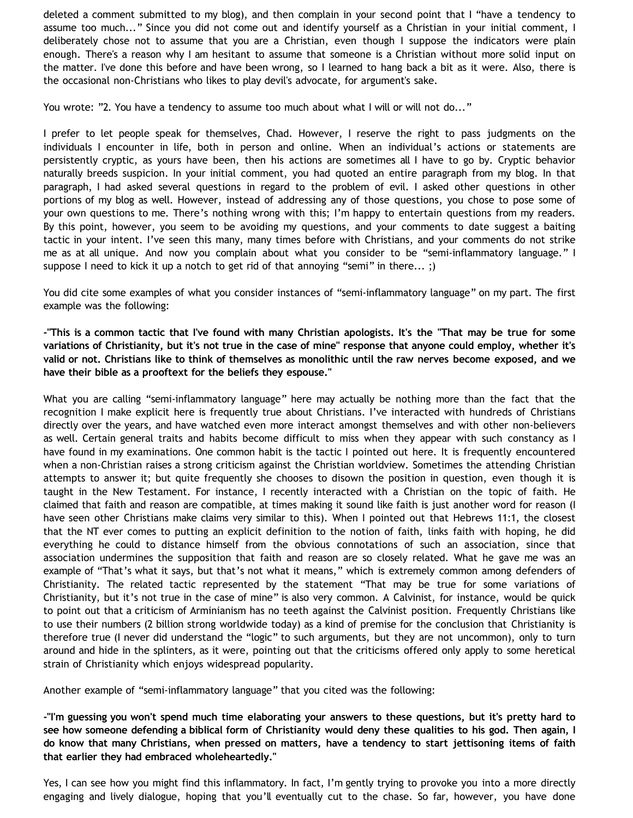deleted a comment submitted to my blog), and then complain in your second point that I "have a tendency to assume too much..." Since you did not come out and identify yourself as a Christian in your initial comment, I deliberately chose not to assume that you are a Christian, even though I suppose the indicators were plain enough. There's a reason why I am hesitant to assume that someone is a Christian without more solid input on the matter. I've done this before and have been wrong, so I learned to hang back a bit as it were. Also, there is the occasional non-Christians who likes to play devil's advocate, for argument's sake.

You wrote: "2. You have a tendency to assume too much about what I will or will not do..."

I prefer to let people speak for themselves, Chad. However, I reserve the right to pass judgments on the individuals I encounter in life, both in person and online. When an individual's actions or statements are persistently cryptic, as yours have been, then his actions are sometimes all I have to go by. Cryptic behavior naturally breeds suspicion. In your initial comment, you had quoted an entire paragraph from my blog. In that paragraph, I had asked several questions in regard to the problem of evil. I asked other questions in other portions of my blog as well. However, instead of addressing any of those questions, you chose to pose some of your own questions to me. There's nothing wrong with this; I'm happy to entertain questions from my readers. By this point, however, you seem to be avoiding my questions, and your comments to date suggest a baiting tactic in your intent. I've seen this many, many times before with Christians, and your comments do not strike me as at all unique. And now you complain about what you consider to be "semi-inflammatory language." I suppose I need to kick it up a notch to get rid of that annoying "semi" in there... ;)

You did cite some examples of what you consider instances of "semi-inflammatory language" on my part. The first example was the following:

**-"This is a common tactic that I've found with many Christian apologists. It's the "That may be true for some variations of Christianity, but it's not true in the case of mine" response that anyone could employ, whether it's valid or not. Christians like to think of themselves as monolithic until the raw nerves become exposed, and we have their bible as a prooftext for the beliefs they espouse."**

What you are calling "semi-inflammatory language" here may actually be nothing more than the fact that the recognition I make explicit here is frequently true about Christians. I've interacted with hundreds of Christians directly over the years, and have watched even more interact amongst themselves and with other non-believers as well. Certain general traits and habits become difficult to miss when they appear with such constancy as I have found in my examinations. One common habit is the tactic I pointed out here. It is frequently encountered when a non-Christian raises a strong criticism against the Christian worldview. Sometimes the attending Christian attempts to answer it; but quite frequently she chooses to disown the position in question, even though it is taught in the New Testament. For instance, I recently interacted with a Christian on the topic of faith. He claimed that faith and reason are compatible, at times making it sound like faith is just another word for reason (I have seen other Christians make claims very similar to this). When I pointed out that Hebrews 11:1, the closest that the NT ever comes to putting an explicit definition to the notion of faith, links faith with hoping, he did everything he could to distance himself from the obvious connotations of such an association, since that association undermines the supposition that faith and reason are so closely related. What he gave me was an example of "That's what it says, but that's not what it means," which is extremely common among defenders of Christianity. The related tactic represented by the statement "That may be true for some variations of Christianity, but it's not true in the case of mine" is also very common. A Calvinist, for instance, would be quick to point out that a criticism of Arminianism has no teeth against the Calvinist position. Frequently Christians like to use their numbers (2 billion strong worldwide today) as a kind of premise for the conclusion that Christianity is therefore true (I never did understand the "logic" to such arguments, but they are not uncommon), only to turn around and hide in the splinters, as it were, pointing out that the criticisms offered only apply to some heretical strain of Christianity which enjoys widespread popularity.

Another example of "semi-inflammatory language" that you cited was the following:

**-"I'm guessing you won't spend much time elaborating your answers to these questions, but it's pretty hard to see how someone defending a biblical form of Christianity would deny these qualities to his god. Then again, I do know that many Christians, when pressed on matters, have a tendency to start jettisoning items of faith that earlier they had embraced wholeheartedly."**

Yes, I can see how you might find this inflammatory. In fact, I'm gently trying to provoke you into a more directly engaging and lively dialogue, hoping that you'll eventually cut to the chase. So far, however, you have done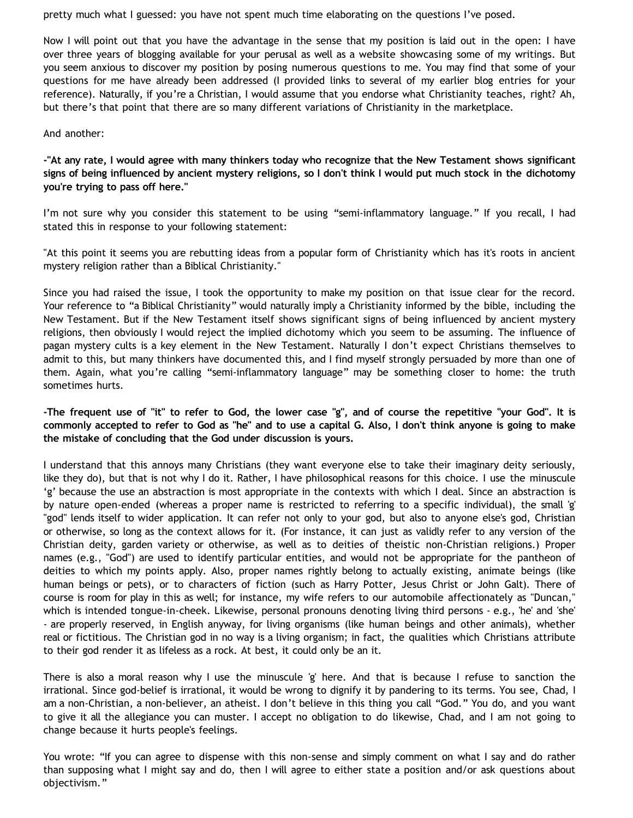pretty much what I guessed: you have not spent much time elaborating on the questions I've posed.

Now I will point out that you have the advantage in the sense that my position is laid out in the open: I have over three years of blogging available for your perusal as well as a website showcasing some of my writings. But you seem anxious to discover my position by posing numerous questions to me. You may find that some of your questions for me have already been addressed (I provided links to several of my earlier blog entries for your reference). Naturally, if you're a Christian, I would assume that you endorse what Christianity teaches, right? Ah, but there's that point that there are so many different variations of Christianity in the marketplace.

## And another:

**-"At any rate, I would agree with many thinkers today who recognize that the New Testament shows significant signs of being influenced by ancient mystery religions, so I don't think I would put much stock in the dichotomy you're trying to pass off here."**

I'm not sure why you consider this statement to be using "semi-inflammatory language." If you recall, I had stated this in response to your following statement:

"At this point it seems you are rebutting ideas from a popular form of Christianity which has it's roots in ancient mystery religion rather than a Biblical Christianity."

Since you had raised the issue, I took the opportunity to make my position on that issue clear for the record. Your reference to "a Biblical Christianity" would naturally imply a Christianity informed by the bible, including the New Testament. But if the New Testament itself shows significant signs of being influenced by ancient mystery religions, then obviously I would reject the implied dichotomy which you seem to be assuming. The influence of pagan mystery cults is a key element in the New Testament. Naturally I don't expect Christians themselves to admit to this, but many thinkers have documented this, and I find myself strongly persuaded by more than one of them. Again, what you're calling "semi-inflammatory language" may be something closer to home: the truth sometimes hurts.

**-The frequent use of "it" to refer to God, the lower case "g", and of course the repetitive "your God". It is commonly accepted to refer to God as "he" and to use a capital G. Also, I don't think anyone is going to make the mistake of concluding that the God under discussion is yours.**

I understand that this annoys many Christians (they want everyone else to take their imaginary deity seriously, like they do), but that is not why I do it. Rather, I have philosophical reasons for this choice. I use the minuscule 'g' because the use an abstraction is most appropriate in the contexts with which I deal. Since an abstraction is by nature open-ended (whereas a proper name is restricted to referring to a specific individual), the small 'g' "god" lends itself to wider application. It can refer not only to your god, but also to anyone else's god, Christian or otherwise, so long as the context allows for it. (For instance, it can just as validly refer to any version of the Christian deity, garden variety or otherwise, as well as to deities of theistic non-Christian religions.) Proper names (e.g., "God") are used to identify particular entities, and would not be appropriate for the pantheon of deities to which my points apply. Also, proper names rightly belong to actually existing, animate beings (like human beings or pets), or to characters of fiction (such as Harry Potter, Jesus Christ or John Galt). There of course is room for play in this as well; for instance, my wife refers to our automobile affectionately as "Duncan," which is intended tongue-in-cheek. Likewise, personal pronouns denoting living third persons - e.g., 'he' and 'she' - are properly reserved, in English anyway, for living organisms (like human beings and other animals), whether real or fictitious. The Christian god in no way is a living organism; in fact, the qualities which Christians attribute to their god render it as lifeless as a rock. At best, it could only be an it.

There is also a moral reason why I use the minuscule 'g' here. And that is because I refuse to sanction the irrational. Since god-belief is irrational, it would be wrong to dignify it by pandering to its terms. You see, Chad, I am a non-Christian, a non-believer, an atheist. I don't believe in this thing you call "God." You do, and you want to give it all the allegiance you can muster. I accept no obligation to do likewise, Chad, and I am not going to change because it hurts people's feelings.

You wrote: "If you can agree to dispense with this non-sense and simply comment on what I say and do rather than supposing what I might say and do, then I will agree to either state a position and/or ask questions about objectivism."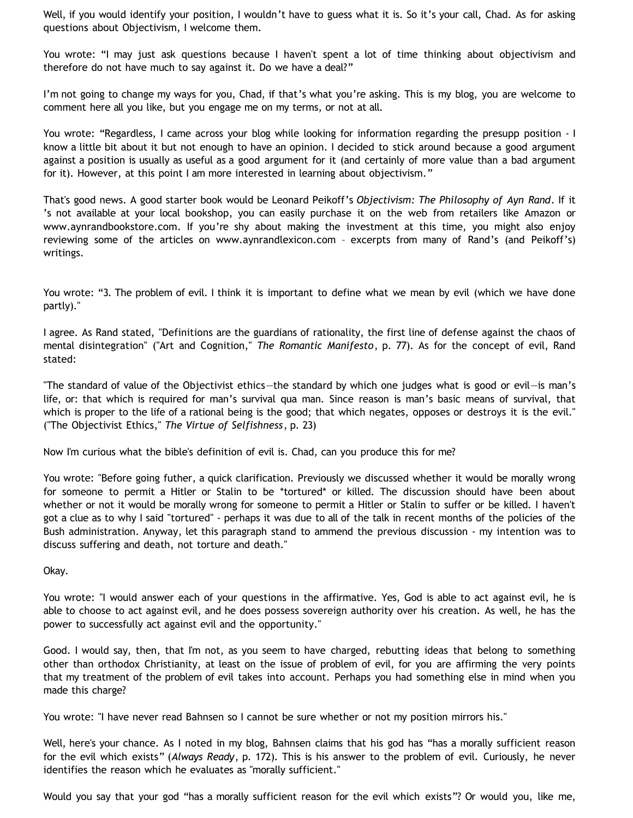Well, if you would identify your position, I wouldn't have to guess what it is. So it's your call, Chad. As for asking questions about Objectivism, I welcome them.

You wrote: "I may just ask questions because I haven't spent a lot of time thinking about objectivism and therefore do not have much to say against it. Do we have a deal?"

I'm not going to change my ways for you, Chad, if that's what you're asking. This is my blog, you are welcome to comment here all you like, but you engage me on my terms, or not at all.

You wrote: "Regardless, I came across your blog while looking for information regarding the presupp position - I know a little bit about it but not enough to have an opinion. I decided to stick around because a good argument against a position is usually as useful as a good argument for it (and certainly of more value than a bad argument for it). However, at this point I am more interested in learning about objectivism."

That's good news. A good starter book would be Leonard Peikoff's *Objectivism: The Philosophy of Ayn Rand*. If it 's not available at your local bookshop, you can easily purchase it on the web from retailers like Amazon or www.aynrandbookstore.com. If you're shy about making the investment at this time, you might also enjoy reviewing some of the articles on www.aynrandlexicon.com – excerpts from many of Rand's (and Peikoff's) writings.

You wrote: "3. The problem of evil. I think it is important to define what we mean by evil (which we have done partly)."

I agree. As Rand stated, "Definitions are the guardians of rationality, the first line of defense against the chaos of mental disintegration" ("Art and Cognition," *The Romantic Manifesto*, p. 77). As for the concept of evil, Rand stated:

"The standard of value of the Objectivist ethics—the standard by which one judges what is good or evil—is man's life, or: that which is required for man's survival qua man. Since reason is man's basic means of survival, that which is proper to the life of a rational being is the good; that which negates, opposes or destroys it is the evil." ("The Objectivist Ethics," *The Virtue of Selfishness*, p. 23)

Now I'm curious what the bible's definition of evil is. Chad, can you produce this for me?

You wrote: "Before going futher, a quick clarification. Previously we discussed whether it would be morally wrong for someone to permit a Hitler or Stalin to be \*tortured\* or killed. The discussion should have been about whether or not it would be morally wrong for someone to permit a Hitler or Stalin to suffer or be killed. I haven't got a clue as to why I said "tortured" - perhaps it was due to all of the talk in recent months of the policies of the Bush administration. Anyway, let this paragraph stand to ammend the previous discussion - my intention was to discuss suffering and death, not torture and death."

Okay.

You wrote: "I would answer each of your questions in the affirmative. Yes, God is able to act against evil, he is able to choose to act against evil, and he does possess sovereign authority over his creation. As well, he has the power to successfully act against evil and the opportunity."

Good. I would say, then, that I'm not, as you seem to have charged, rebutting ideas that belong to something other than orthodox Christianity, at least on the issue of problem of evil, for you are affirming the very points that my treatment of the problem of evil takes into account. Perhaps you had something else in mind when you made this charge?

You wrote: "I have never read Bahnsen so I cannot be sure whether or not my position mirrors his."

Well, here's your chance. As I noted in my blog, Bahnsen claims that his god has "has a morally sufficient reason for the evil which exists" (*Always Ready*, p. 172). This is his answer to the problem of evil. Curiously, he never identifies the reason which he evaluates as "morally sufficient."

Would you say that your god "has a morally sufficient reason for the evil which exists"? Or would you, like me,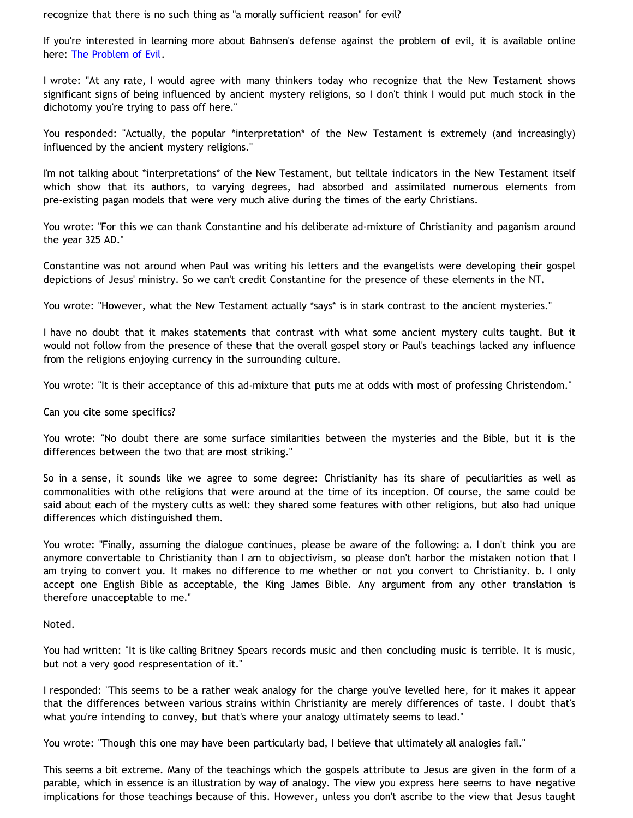recognize that there is no such thing as "a morally sufficient reason" for evil?

If you're interested in learning more about Bahnsen's defense against the problem of evil, it is available online here: [The Problem of Evil](http://www.cmfnow.com/articles/pa105.htm).

I wrote: "At any rate, I would agree with many thinkers today who recognize that the New Testament shows significant signs of being influenced by ancient mystery religions, so I don't think I would put much stock in the dichotomy you're trying to pass off here."

You responded: "Actually, the popular \*interpretation\* of the New Testament is extremely (and increasingly) influenced by the ancient mystery religions."

I'm not talking about \*interpretations\* of the New Testament, but telltale indicators in the New Testament itself which show that its authors, to varying degrees, had absorbed and assimilated numerous elements from pre-existing pagan models that were very much alive during the times of the early Christians.

You wrote: "For this we can thank Constantine and his deliberate ad-mixture of Christianity and paganism around the year 325 AD."

Constantine was not around when Paul was writing his letters and the evangelists were developing their gospel depictions of Jesus' ministry. So we can't credit Constantine for the presence of these elements in the NT.

You wrote: "However, what the New Testament actually \*says\* is in stark contrast to the ancient mysteries."

I have no doubt that it makes statements that contrast with what some ancient mystery cults taught. But it would not follow from the presence of these that the overall gospel story or Paul's teachings lacked any influence from the religions enjoying currency in the surrounding culture.

You wrote: "It is their acceptance of this ad-mixture that puts me at odds with most of professing Christendom."

Can you cite some specifics?

You wrote: "No doubt there are some surface similarities between the mysteries and the Bible, but it is the differences between the two that are most striking."

So in a sense, it sounds like we agree to some degree: Christianity has its share of peculiarities as well as commonalities with othe religions that were around at the time of its inception. Of course, the same could be said about each of the mystery cults as well: they shared some features with other religions, but also had unique differences which distinguished them.

You wrote: "Finally, assuming the dialogue continues, please be aware of the following: a. I don't think you are anymore convertable to Christianity than I am to objectivism, so please don't harbor the mistaken notion that I am trying to convert you. It makes no difference to me whether or not you convert to Christianity. b. I only accept one English Bible as acceptable, the King James Bible. Any argument from any other translation is therefore unacceptable to me."

Noted.

You had written: "It is like calling Britney Spears records music and then concluding music is terrible. It is music, but not a very good respresentation of it."

I responded: "This seems to be a rather weak analogy for the charge you've levelled here, for it makes it appear that the differences between various strains within Christianity are merely differences of taste. I doubt that's what you're intending to convey, but that's where your analogy ultimately seems to lead."

You wrote: "Though this one may have been particularly bad, I believe that ultimately all analogies fail."

This seems a bit extreme. Many of the teachings which the gospels attribute to Jesus are given in the form of a parable, which in essence is an illustration by way of analogy. The view you express here seems to have negative implications for those teachings because of this. However, unless you don't ascribe to the view that Jesus taught